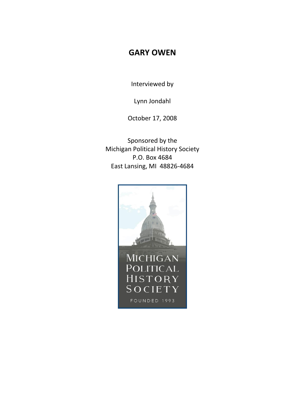## **GARY OWEN**

Interviewed by

Lynn Jondahl

October 17, 2008

Sponsored by the Michigan Political History Society P.O. Box 4684 East Lansing, MI 48826-4684

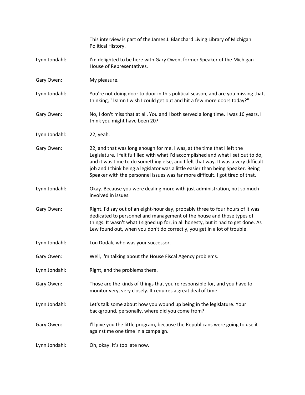|               | This interview is part of the James J. Blanchard Living Library of Michigan<br>Political History.                                                                                                                                                                                                                                                                                                                         |
|---------------|---------------------------------------------------------------------------------------------------------------------------------------------------------------------------------------------------------------------------------------------------------------------------------------------------------------------------------------------------------------------------------------------------------------------------|
| Lynn Jondahl: | I'm delighted to be here with Gary Owen, former Speaker of the Michigan<br>House of Representatives.                                                                                                                                                                                                                                                                                                                      |
| Gary Owen:    | My pleasure.                                                                                                                                                                                                                                                                                                                                                                                                              |
| Lynn Jondahl: | You're not doing door to door in this political season, and are you missing that,<br>thinking, "Damn I wish I could get out and hit a few more doors today?"                                                                                                                                                                                                                                                              |
| Gary Owen:    | No, I don't miss that at all. You and I both served a long time. I was 16 years, I<br>think you might have been 20?                                                                                                                                                                                                                                                                                                       |
| Lynn Jondahl: | 22, yeah.                                                                                                                                                                                                                                                                                                                                                                                                                 |
| Gary Owen:    | 22, and that was long enough for me. I was, at the time that I left the<br>Legislature, I felt fulfilled with what I'd accomplished and what I set out to do,<br>and it was time to do something else, and I felt that way. It was a very difficult<br>job and I think being a legislator was a little easier than being Speaker. Being<br>Speaker with the personnel issues was far more difficult. I got tired of that. |
| Lynn Jondahl: | Okay. Because you were dealing more with just administration, not so much<br>involved in issues.                                                                                                                                                                                                                                                                                                                          |
| Gary Owen:    | Right. I'd say out of an eight-hour day, probably three to four hours of it was<br>dedicated to personnel and management of the house and those types of<br>things. It wasn't what I signed up for, in all honesty, but it had to get done. As<br>Lew found out, when you don't do correctly, you get in a lot of trouble.                                                                                                |
| Lynn Jondahl: | Lou Dodak, who was your successor.                                                                                                                                                                                                                                                                                                                                                                                        |
| Gary Owen:    | Well, I'm talking about the House Fiscal Agency problems.                                                                                                                                                                                                                                                                                                                                                                 |
| Lynn Jondahl: | Right, and the problems there.                                                                                                                                                                                                                                                                                                                                                                                            |
| Gary Owen:    | Those are the kinds of things that you're responsible for, and you have to<br>monitor very, very closely. It requires a great deal of time.                                                                                                                                                                                                                                                                               |
| Lynn Jondahl: | Let's talk some about how you wound up being in the legislature. Your<br>background, personally, where did you come from?                                                                                                                                                                                                                                                                                                 |
| Gary Owen:    | I'll give you the little program, because the Republicans were going to use it<br>against me one time in a campaign.                                                                                                                                                                                                                                                                                                      |
| Lynn Jondahl: | Oh, okay. It's too late now.                                                                                                                                                                                                                                                                                                                                                                                              |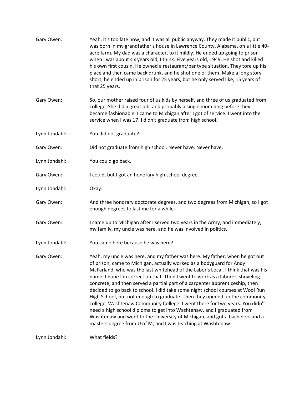| Gary Owen:    | Yeah, it's too late now, and it was all public anyway. They made it public, but I<br>was born in my grandfather's house in Lawrence County, Alabama, on a little 40-<br>acre farm. My dad was a character, to it mildly. He ended up going to prison<br>when I was about six years old, I think. Five years old, 1949. He shot and killed<br>his own first cousin. He owned a restaurant/bar type situation. They tore up his<br>place and then came back drunk, and he shot one of them. Make a long story<br>short, he ended up in prison for 25 years, but he only served like, 15 years of<br>that 25 years.                                                                                                                                                                                                                                                                  |
|---------------|-----------------------------------------------------------------------------------------------------------------------------------------------------------------------------------------------------------------------------------------------------------------------------------------------------------------------------------------------------------------------------------------------------------------------------------------------------------------------------------------------------------------------------------------------------------------------------------------------------------------------------------------------------------------------------------------------------------------------------------------------------------------------------------------------------------------------------------------------------------------------------------|
| Gary Owen:    | So, our mother raised four of us kids by herself, and three of us graduated from<br>college. She did a great job, and probably a single mom long before they<br>became fashionable. I came to Michigan after I got of service. I went into the<br>service when I was 17. I didn't graduate from high school.                                                                                                                                                                                                                                                                                                                                                                                                                                                                                                                                                                      |
| Lynn Jondahl: | You did not graduate?                                                                                                                                                                                                                                                                                                                                                                                                                                                                                                                                                                                                                                                                                                                                                                                                                                                             |
| Gary Owen:    | Did not graduate from high school. Never have. Never have.                                                                                                                                                                                                                                                                                                                                                                                                                                                                                                                                                                                                                                                                                                                                                                                                                        |
| Lynn Jondahl: | You could go back.                                                                                                                                                                                                                                                                                                                                                                                                                                                                                                                                                                                                                                                                                                                                                                                                                                                                |
| Gary Owen:    | I could, but I got an honorary high school degree.                                                                                                                                                                                                                                                                                                                                                                                                                                                                                                                                                                                                                                                                                                                                                                                                                                |
| Lynn Jondahl: | Okay.                                                                                                                                                                                                                                                                                                                                                                                                                                                                                                                                                                                                                                                                                                                                                                                                                                                                             |
| Gary Owen:    | And three honorary doctorate degrees, and two degrees from Michigan, so I got<br>enough degrees to last me for a while.                                                                                                                                                                                                                                                                                                                                                                                                                                                                                                                                                                                                                                                                                                                                                           |
| Gary Owen:    | I came up to Michigan after I served two years in the Army, and immediately,<br>my family, my uncle was here, and he was involved in politics.                                                                                                                                                                                                                                                                                                                                                                                                                                                                                                                                                                                                                                                                                                                                    |
| Lynn Jondahl: | You came here because he was here?                                                                                                                                                                                                                                                                                                                                                                                                                                                                                                                                                                                                                                                                                                                                                                                                                                                |
| Gary Owen:    | Yeah, my uncle was here, and my father was here. My father, when he got out<br>of prison, came to Michigan, actually worked as a bodyguard for Andy<br>McFarland, who was the last whitehead of the Labor's Local. I think that was his<br>name. I hope I'm correct on that. Then I went to work as a laborer, shoveling<br>concrete, and then served a partial part of a carpenter apprenticeship, then<br>decided to go back to school. I did take some night school courses at Wool Run<br>High School, but not enough to graduate. Then they opened up the community<br>college, Washtenaw Community College. I went there for two years. You didn't<br>need a high school diploma to get into Washtenaw, and I graduated from<br>Washtenaw and went to the University of Michigan, and got a bachelors and a<br>masters degree from U of M, and I was teaching at Washtenaw. |
| Lynn Jondahl: | What fields?                                                                                                                                                                                                                                                                                                                                                                                                                                                                                                                                                                                                                                                                                                                                                                                                                                                                      |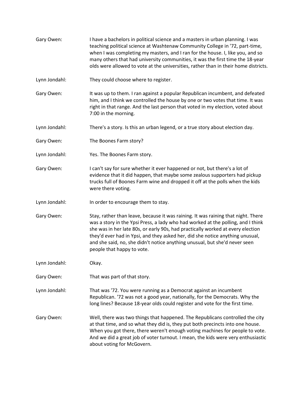- Gary Owen: I have a bachelors in political science and a masters in urban planning. I was teaching political science at Washtenaw Community College in '72, part-time, when I was completing my masters, and I ran for the house. I, like you, and so many others that had university communities, it was the first time the 18-year olds were allowed to vote at the universities, rather than in their home districts.
- Lynn Jondahl: They could choose where to register.
- Gary Owen: It was up to them. I ran against a popular Republican incumbent, and defeated him, and I think we controlled the house by one or two votes that time. It was right in that range. And the last person that voted in my election, voted about 7:00 in the morning.
- Lynn Jondahl: There's a story. Is this an urban legend, or a true story about election day.
- Gary Owen: The Boones Farm story?
- Lynn Jondahl: Yes. The Boones Farm story.
- Gary Owen: I can't say for sure whether it ever happened or not, but there's a lot of evidence that it did happen, that maybe some zealous supporters had pickup trucks full of Boones Farm wine and dropped it off at the polls when the kids were there voting.
- Lynn Jondahl: In order to encourage them to stay.
- Gary Owen: Stay, rather than leave, because it was raining. It was raining that night. There was a story in the Ypsi Press, a lady who had worked at the polling, and I think she was in her late 80s, or early 90s, had practically worked at every election they'd ever had in Ypsi, and they asked her, did she notice anything unusual, and she said, no, she didn't notice anything unusual, but she'd never seen people that happy to vote.
- Lynn Jondahl: Okay.
- Gary Owen: That was part of that story.
- Lynn Jondahl: That was '72. You were running as a Democrat against an incumbent Republican. '72 was not a good year, nationally, for the Democrats. Why the long lines? Because 18-year olds could register and vote for the first time.
- Gary Owen: Well, there was two things that happened. The Republicans controlled the city at that time, and so what they did is, they put both precincts into one house. When you got there, there weren't enough voting machines for people to vote. And we did a great job of voter turnout. I mean, the kids were very enthusiastic about voting for McGovern.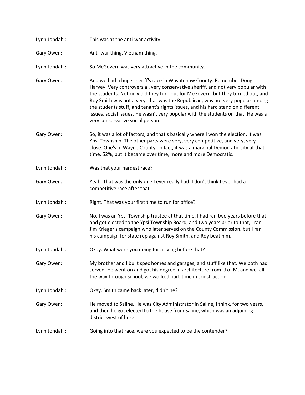| Lynn Jondahl: | This was at the anti-war activity.                                                                                                                                                                                                                                                                                                                                                                                                                                                                                                      |
|---------------|-----------------------------------------------------------------------------------------------------------------------------------------------------------------------------------------------------------------------------------------------------------------------------------------------------------------------------------------------------------------------------------------------------------------------------------------------------------------------------------------------------------------------------------------|
| Gary Owen:    | Anti-war thing, Vietnam thing.                                                                                                                                                                                                                                                                                                                                                                                                                                                                                                          |
| Lynn Jondahl: | So McGovern was very attractive in the community.                                                                                                                                                                                                                                                                                                                                                                                                                                                                                       |
| Gary Owen:    | And we had a huge sheriff's race in Washtenaw County. Remember Doug<br>Harvey. Very controversial, very conservative sheriff, and not very popular with<br>the students. Not only did they turn out for McGovern, but they turned out, and<br>Roy Smith was not a very, that was the Republican, was not very popular among<br>the students stuff, and tenant's rights issues, and his hard stand on different<br>issues, social issues. He wasn't very popular with the students on that. He was a<br>very conservative social person. |
| Gary Owen:    | So, it was a lot of factors, and that's basically where I won the election. It was<br>Ypsi Township. The other parts were very, very competitive, and very, very<br>close. One's in Wayne County. In fact, it was a marginal Democratic city at that<br>time, 52%, but it became over time, more and more Democratic.                                                                                                                                                                                                                   |
| Lynn Jondahl: | Was that your hardest race?                                                                                                                                                                                                                                                                                                                                                                                                                                                                                                             |
| Gary Owen:    | Yeah. That was the only one I ever really had. I don't think I ever had a<br>competitive race after that.                                                                                                                                                                                                                                                                                                                                                                                                                               |
| Lynn Jondahl: | Right. That was your first time to run for office?                                                                                                                                                                                                                                                                                                                                                                                                                                                                                      |
| Gary Owen:    | No, I was an Ypsi Township trustee at that time. I had ran two years before that,<br>and got elected to the Ypsi Township Board, and two years prior to that, I ran<br>Jim Krieger's campaign who later served on the County Commission, but I ran<br>his campaign for state rep against Roy Smith, and Roy beat him.                                                                                                                                                                                                                   |
| Lynn Jondahl: | Okay. What were you doing for a living before that?                                                                                                                                                                                                                                                                                                                                                                                                                                                                                     |
| Gary Owen:    | My brother and I built spec homes and garages, and stuff like that. We both had<br>served. He went on and got his degree in architecture from U of M, and we, all<br>the way through school, we worked part-time in construction.                                                                                                                                                                                                                                                                                                       |
| Lynn Jondahl: | Okay. Smith came back later, didn't he?                                                                                                                                                                                                                                                                                                                                                                                                                                                                                                 |
| Gary Owen:    | He moved to Saline. He was City Administrator in Saline, I think, for two years,<br>and then he got elected to the house from Saline, which was an adjoining<br>district west of here.                                                                                                                                                                                                                                                                                                                                                  |
| Lynn Jondahl: | Going into that race, were you expected to be the contender?                                                                                                                                                                                                                                                                                                                                                                                                                                                                            |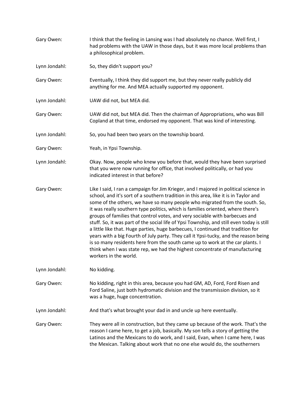| Gary Owen:    | I think that the feeling in Lansing was I had absolutely no chance. Well first, I<br>had problems with the UAW in those days, but it was more local problems than<br>a philosophical problem.                                                                                                                                                                                                                                                                                                                                                                                                                                                                                                                                                                                                                                                                                                   |
|---------------|-------------------------------------------------------------------------------------------------------------------------------------------------------------------------------------------------------------------------------------------------------------------------------------------------------------------------------------------------------------------------------------------------------------------------------------------------------------------------------------------------------------------------------------------------------------------------------------------------------------------------------------------------------------------------------------------------------------------------------------------------------------------------------------------------------------------------------------------------------------------------------------------------|
| Lynn Jondahl: | So, they didn't support you?                                                                                                                                                                                                                                                                                                                                                                                                                                                                                                                                                                                                                                                                                                                                                                                                                                                                    |
| Gary Owen:    | Eventually, I think they did support me, but they never really publicly did<br>anything for me. And MEA actually supported my opponent.                                                                                                                                                                                                                                                                                                                                                                                                                                                                                                                                                                                                                                                                                                                                                         |
| Lynn Jondahl: | UAW did not, but MEA did.                                                                                                                                                                                                                                                                                                                                                                                                                                                                                                                                                                                                                                                                                                                                                                                                                                                                       |
| Gary Owen:    | UAW did not, but MEA did. Then the chairman of Appropriations, who was Bill<br>Copland at that time, endorsed my opponent. That was kind of interesting.                                                                                                                                                                                                                                                                                                                                                                                                                                                                                                                                                                                                                                                                                                                                        |
| Lynn Jondahl: | So, you had been two years on the township board.                                                                                                                                                                                                                                                                                                                                                                                                                                                                                                                                                                                                                                                                                                                                                                                                                                               |
| Gary Owen:    | Yeah, in Ypsi Township.                                                                                                                                                                                                                                                                                                                                                                                                                                                                                                                                                                                                                                                                                                                                                                                                                                                                         |
| Lynn Jondahl: | Okay. Now, people who knew you before that, would they have been surprised<br>that you were now running for office, that involved politically, or had you<br>indicated interest in that before?                                                                                                                                                                                                                                                                                                                                                                                                                                                                                                                                                                                                                                                                                                 |
| Gary Owen:    | Like I said, I ran a campaign for Jim Krieger, and I majored in political science in<br>school, and it's sort of a southern tradition in this area, like it is in Taylor and<br>some of the others, we have so many people who migrated from the south. So,<br>it was really southern type politics, which is families oriented, where there's<br>groups of families that control votes, and very sociable with barbecues and<br>stuff. So, it was part of the social life of Ypsi Township, and still even today is still<br>a little like that. Huge parties, huge barbecues, I continued that tradition for<br>years with a big Fourth of July party. They call it Ypsi-tucky, and the reason being<br>is so many residents here from the south came up to work at the car plants. I<br>think when I was state rep, we had the highest concentrate of manufacturing<br>workers in the world. |
| Lynn Jondahl: | No kidding.                                                                                                                                                                                                                                                                                                                                                                                                                                                                                                                                                                                                                                                                                                                                                                                                                                                                                     |
| Gary Owen:    | No kidding, right in this area, because you had GM, AD, Ford, Ford Risen and<br>Ford Saline, just both hydromatic division and the transmission division, so it<br>was a huge, huge concentration.                                                                                                                                                                                                                                                                                                                                                                                                                                                                                                                                                                                                                                                                                              |
| Lynn Jondahl: | And that's what brought your dad in and uncle up here eventually.                                                                                                                                                                                                                                                                                                                                                                                                                                                                                                                                                                                                                                                                                                                                                                                                                               |
| Gary Owen:    | They were all in construction, but they came up because of the work. That's the<br>reason I came here, to get a job, basically. My son tells a story of getting the<br>Latinos and the Mexicans to do work, and I said, Evan, when I came here, I was<br>the Mexican. Talking about work that no one else would do, the southerners                                                                                                                                                                                                                                                                                                                                                                                                                                                                                                                                                             |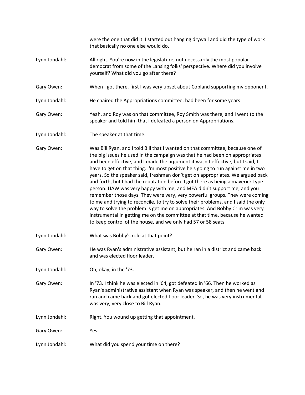were the one that did it. I started out hanging drywall and did the type of work that basically no one else would do. Lynn Jondahl: All right. You're now in the legislature, not necessarily the most popular democrat from some of the Lansing folks' perspective. Where did you involve yourself? What did you go after there? Gary Owen: When I got there, first I was very upset about Copland supporting my opponent. Lynn Jondahl: He chaired the Appropriations committee, had been for some years Gary Owen: Yeah, and Roy was on that committee, Roy Smith was there, and I went to the speaker and told him that I defeated a person on Appropriations. Lynn Jondahl: The speaker at that time. Gary Owen: Was Bill Ryan, and I told Bill that I wanted on that committee, because one of the big issues he used in the campaign was that he had been on appropriates and been effective, and I made the argument it wasn't effective, but I said, I have to get on that thing. I'm most positive he's going to run against me in two years. So the speaker said, freshman don't get on appropriates. We argued back and forth, but I had the reputation before I got there as being a maverick type person. UAW was very happy with me, and MEA didn't support me, and you remember those days. They were very, very powerful groups. They were coming to me and trying to reconcile, to try to solve their problems, and I said the only way to solve the problem is get me on appropriates. And Bobby Crim was very instrumental in getting me on the committee at that time, because he wanted to keep control of the house, and we only had 57 or 58 seats. Lynn Jondahl: What was Bobby's role at that point? Gary Owen: He was Ryan's administrative assistant, but he ran in a district and came back and was elected floor leader. Lynn Jondahl: Oh, okay, in the '73. Gary Owen: In '73. I think he was elected in '64, got defeated in '66. Then he worked as Ryan's administrative assistant when Ryan was speaker, and then he went and ran and came back and got elected floor leader. So, he was very instrumental, was very, very close to Bill Ryan. Lynn Jondahl: Right. You wound up getting that appointment. Gary Owen: Yes. Lynn Jondahl: What did you spend your time on there?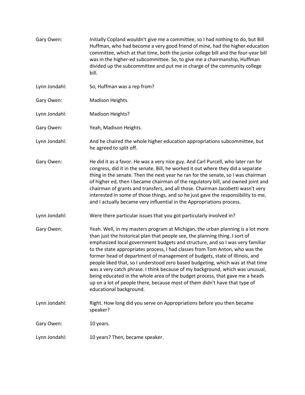| Gary Owen:    | Initially Copland wouldn't give me a committee, so I had nothing to do, but Bill<br>Huffman, who had become a very good friend of mine, had the higher education<br>committee, which at that time, both the junior college bill and the four-year bill<br>was in the higher-ed subcommittee. So, to give me a chairmanship, Huffman<br>divided up the subcommittee and put me in charge of the community college<br>bill.                                                                                                                                                                                                                                                                                                                                                   |
|---------------|-----------------------------------------------------------------------------------------------------------------------------------------------------------------------------------------------------------------------------------------------------------------------------------------------------------------------------------------------------------------------------------------------------------------------------------------------------------------------------------------------------------------------------------------------------------------------------------------------------------------------------------------------------------------------------------------------------------------------------------------------------------------------------|
| Lynn Jondahl: | So, Huffman was a rep from?                                                                                                                                                                                                                                                                                                                                                                                                                                                                                                                                                                                                                                                                                                                                                 |
| Gary Owen:    | Madison Heights.                                                                                                                                                                                                                                                                                                                                                                                                                                                                                                                                                                                                                                                                                                                                                            |
| Lynn Jondahl: | Madison Heights?                                                                                                                                                                                                                                                                                                                                                                                                                                                                                                                                                                                                                                                                                                                                                            |
| Gary Owen:    | Yeah, Madison Heights.                                                                                                                                                                                                                                                                                                                                                                                                                                                                                                                                                                                                                                                                                                                                                      |
| Lynn Jondahl: | And he chaired the whole higher education appropriations subcommittee, but<br>he agreed to split off.                                                                                                                                                                                                                                                                                                                                                                                                                                                                                                                                                                                                                                                                       |
| Gary Owen:    | He did it as a favor. He was a very nice guy. And Carl Purcell, who later ran for<br>congress, did it in the senate. Bill, he worked it out where they did a separate<br>thing in the senate. Then the next year he ran for the senate, so I was chairman<br>of higher ed, then I became chairman of the regulatory bill, and owned joint and<br>chairman of grants and transfers, and all those. Chairman Jacobetti wasn't very<br>interested in some of those things, and so he just gave the responsibility to me,<br>and I actually became very influential in the Appropriations process.                                                                                                                                                                              |
| Lynn Jondahl: | Were there particular issues that you got particularly involved in?                                                                                                                                                                                                                                                                                                                                                                                                                                                                                                                                                                                                                                                                                                         |
| Gary Owen:    | Yeah. Well, in my masters program at Michigan, the urban planning is a lot more<br>than just the historical plan that people see, the planning thing. I sort of<br>emphasized local government budgets and structure, and so I was very familiar<br>to the state appropriates process, I had classes from Tom Anton, who was the<br>former head of department of management of budgets, state of Illinois, and<br>people liked that, so I understood zero based budgeting, which was at that time<br>was a very catch phrase. I think because of my background, which was unusual,<br>being educated in the whole area of the budget process, that gave me a heads<br>up on a lot of people there, because most of them didn't have that type of<br>educational background. |
| Lynn Jondahl: | Right. How long did you serve on Appropriations before you then became<br>speaker?                                                                                                                                                                                                                                                                                                                                                                                                                                                                                                                                                                                                                                                                                          |
| Gary Owen:    | 10 years.                                                                                                                                                                                                                                                                                                                                                                                                                                                                                                                                                                                                                                                                                                                                                                   |
| Lynn Jondahl: | 10 years? Then, became speaker.                                                                                                                                                                                                                                                                                                                                                                                                                                                                                                                                                                                                                                                                                                                                             |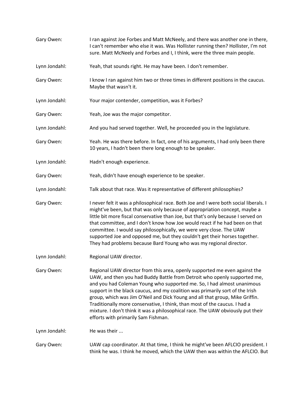| Gary Owen:    | I ran against Joe Forbes and Matt McNeely, and there was another one in there,<br>I can't remember who else it was. Was Hollister running then? Hollister, I'm not<br>sure. Matt McNeely and Forbes and I, I think, were the three main people.                                                                                                                                                                                                                                                                                                                                                           |
|---------------|-----------------------------------------------------------------------------------------------------------------------------------------------------------------------------------------------------------------------------------------------------------------------------------------------------------------------------------------------------------------------------------------------------------------------------------------------------------------------------------------------------------------------------------------------------------------------------------------------------------|
| Lynn Jondahl: | Yeah, that sounds right. He may have been. I don't remember.                                                                                                                                                                                                                                                                                                                                                                                                                                                                                                                                              |
| Gary Owen:    | I know I ran against him two or three times in different positions in the caucus.<br>Maybe that wasn't it.                                                                                                                                                                                                                                                                                                                                                                                                                                                                                                |
| Lynn Jondahl: | Your major contender, competition, was it Forbes?                                                                                                                                                                                                                                                                                                                                                                                                                                                                                                                                                         |
| Gary Owen:    | Yeah, Joe was the major competitor.                                                                                                                                                                                                                                                                                                                                                                                                                                                                                                                                                                       |
| Lynn Jondahl: | And you had served together. Well, he proceeded you in the legislature.                                                                                                                                                                                                                                                                                                                                                                                                                                                                                                                                   |
| Gary Owen:    | Yeah. He was there before. In fact, one of his arguments, I had only been there<br>10 years, I hadn't been there long enough to be speaker.                                                                                                                                                                                                                                                                                                                                                                                                                                                               |
| Lynn Jondahl: | Hadn't enough experience.                                                                                                                                                                                                                                                                                                                                                                                                                                                                                                                                                                                 |
| Gary Owen:    | Yeah, didn't have enough experience to be speaker.                                                                                                                                                                                                                                                                                                                                                                                                                                                                                                                                                        |
| Lynn Jondahl: | Talk about that race. Was it representative of different philosophies?                                                                                                                                                                                                                                                                                                                                                                                                                                                                                                                                    |
| Gary Owen:    | I never felt it was a philosophical race. Both Joe and I were both social liberals. I<br>might've been, but that was only because of appropriation concept, maybe a<br>little bit more fiscal conservative than Joe, but that's only because I served on<br>that committee, and I don't know how Joe would react if he had been on that<br>committee. I would say philosophically, we were very close. The UAW<br>supported Joe and opposed me, but they couldn't get their horses together.<br>They had problems because Bard Young who was my regional director.                                        |
| Lynn Jondahl: | Regional UAW director.                                                                                                                                                                                                                                                                                                                                                                                                                                                                                                                                                                                    |
| Gary Owen:    | Regional UAW director from this area, openly supported me even against the<br>UAW, and then you had Buddy Battle from Detroit who openly supported me,<br>and you had Coleman Young who supported me. So, I had almost unanimous<br>support in the black caucus, and my coalition was primarily sort of the Irish<br>group, which was Jim O'Neil and Dick Young and all that group, Mike Griffin.<br>Traditionally more conservative, I think, than most of the caucus. I had a<br>mixture. I don't think it was a philosophical race. The UAW obviously put their<br>efforts with primarily Sam Fishman. |
| Lynn Jondahl: | He was their                                                                                                                                                                                                                                                                                                                                                                                                                                                                                                                                                                                              |
| Gary Owen:    | UAW cap coordinator. At that time, I think he might've been AFLCIO president. I<br>think he was. I think he moved, which the UAW then was within the AFLCIO. But                                                                                                                                                                                                                                                                                                                                                                                                                                          |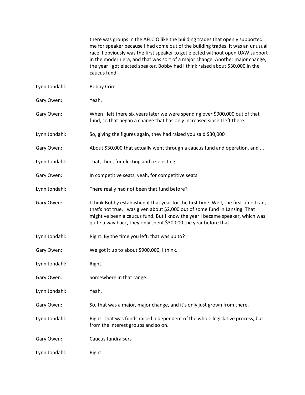there was groups in the AFLCIO like the building trades that openly supported me for speaker because I had come out of the building trades. It was an unusual race. I obviously was the first speaker to get elected without open UAW support in the modern era, and that was sort of a major change. Another major change, the year I got elected speaker, Bobby had I think raised about \$30,000 in the caucus fund.

- Lynn Jondahl: Bobby Crim
- Gary Owen: Yeah.
- Gary Owen: When I left there six years later we were spending over \$900,000 out of that fund, so that began a change that has only increased since I left there.
- Lynn Jondahl: So, giving the figures again, they had raised you said \$30,000
- Gary Owen: About \$30,000 that actually went through a caucus fund and operation, and ...
- Lynn Jondahl: That, then, for electing and re-electing.
- Gary Owen: In competitive seats, yeah, for competitive seats.
- Lynn Jondahl: There really had not been that fund before?
- Gary Owen: I think Bobby established it that year for the first time. Well, the first time I ran, that's not true. I was given about \$2,000 out of some fund in Lansing. That might've been a caucus fund. But I know the year I became speaker, which was quite a way back, they only spent \$30,000 the year before that.
- Lynn Jondahl: Right. By the time you left, that was up to?
- Gary Owen: We got it up to about \$900,000, I think.
- Lynn Jondahl: Right.
- Gary Owen: Somewhere in that range.
- Lynn Jondahl: Yeah.
- Gary Owen: So, that was a major, major change, and it's only just grown from there.
- Lynn Jondahl: Right. That was funds raised independent of the whole legislative process, but from the interest groups and so on.
- Gary Owen: Caucus fundraisers
- Lynn Jondahl: Right.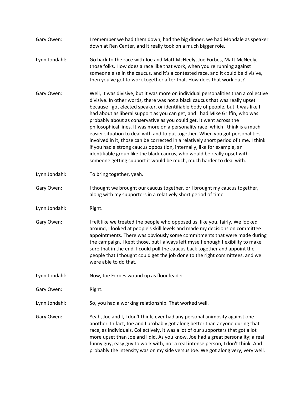| Gary Owen:    | I remember we had them down, had the big dinner, we had Mondale as speaker<br>down at Ren Center, and it really took on a much bigger role.                                                                                                                                                                                                                                                                                                                                                                                                                                                                                                                                                                                                                                                                                                                                                               |
|---------------|-----------------------------------------------------------------------------------------------------------------------------------------------------------------------------------------------------------------------------------------------------------------------------------------------------------------------------------------------------------------------------------------------------------------------------------------------------------------------------------------------------------------------------------------------------------------------------------------------------------------------------------------------------------------------------------------------------------------------------------------------------------------------------------------------------------------------------------------------------------------------------------------------------------|
| Lynn Jondahl: | Go back to the race with Joe and Matt McNeely, Joe Forbes, Matt McNeely,<br>those folks. How does a race like that work, when you're running against<br>someone else in the caucus, and it's a contested race, and it could be divisive,<br>then you've got to work together after that. How does that work out?                                                                                                                                                                                                                                                                                                                                                                                                                                                                                                                                                                                          |
| Gary Owen:    | Well, it was divisive, but it was more on individual personalities than a collective<br>divisive. In other words, there was not a black caucus that was really upset<br>because I got elected speaker, or identifiable body of people, but it was like I<br>had about as liberal support as you can get, and I had Mike Griffin, who was<br>probably about as conservative as you could get. It went across the<br>philosophical lines. It was more on a personality race, which I think is a much<br>easier situation to deal with and to put together. When you got personalities<br>involved in it, those can be corrected in a relatively short period of time. I think<br>if you had a strong caucus opposition, internally, like for example, an<br>identifiable group like the black caucus, who would be really upset with<br>someone getting support it would be much, much harder to deal with. |
| Lynn Jondahl: | To bring together, yeah.                                                                                                                                                                                                                                                                                                                                                                                                                                                                                                                                                                                                                                                                                                                                                                                                                                                                                  |
| Gary Owen:    | I thought we brought our caucus together, or I brought my caucus together,<br>along with my supporters in a relatively short period of time.                                                                                                                                                                                                                                                                                                                                                                                                                                                                                                                                                                                                                                                                                                                                                              |
| Lynn Jondahl: | Right.                                                                                                                                                                                                                                                                                                                                                                                                                                                                                                                                                                                                                                                                                                                                                                                                                                                                                                    |
| Gary Owen:    | I felt like we treated the people who opposed us, like you, fairly. We looked<br>around, I looked at people's skill levels and made my decisions on committee<br>appointments. There was obviously some commitments that were made during<br>the campaign. I kept those, but I always left myself enough flexibility to make<br>sure that in the end, I could pull the caucus back together and appoint the<br>people that I thought could get the job done to the right committees, and we<br>were able to do that.                                                                                                                                                                                                                                                                                                                                                                                      |
| Lynn Jondahl: | Now, Joe Forbes wound up as floor leader.                                                                                                                                                                                                                                                                                                                                                                                                                                                                                                                                                                                                                                                                                                                                                                                                                                                                 |
| Gary Owen:    | Right.                                                                                                                                                                                                                                                                                                                                                                                                                                                                                                                                                                                                                                                                                                                                                                                                                                                                                                    |
| Lynn Jondahl: | So, you had a working relationship. That worked well.                                                                                                                                                                                                                                                                                                                                                                                                                                                                                                                                                                                                                                                                                                                                                                                                                                                     |
| Gary Owen:    | Yeah, Joe and I, I don't think, ever had any personal animosity against one<br>another. In fact, Joe and I probably got along better than anyone during that<br>race, as individuals. Collectively, it was a lot of our supporters that got a lot<br>more upset than Joe and I did. As you know, Joe had a great personality; a real<br>funny guy, easy guy to work with, not a real intense person, I don't think. And<br>probably the intensity was on my side versus Joe. We got along very, very well.                                                                                                                                                                                                                                                                                                                                                                                                |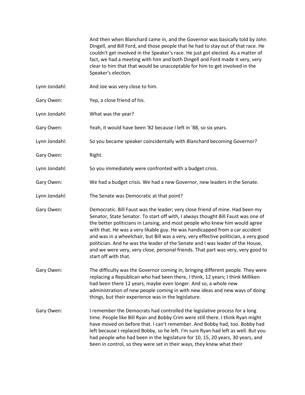And then when Blanchard came in, and the Governor was basically told by John Dingell, and Bill Ford, and those people that he had to stay out of that race. He couldn't get involved in the Speaker's race. He just got elected. As a matter of fact, we had a meeting with him and both Dingell and Ford made it very, very clear to him that that would be unacceptable for him to get involved in the Speaker's election.

- Lynn Jondahl: And Joe was very close to him.
- Gary Owen: Yep, a close friend of his.
- Lynn Jondahl: What was the year?

Gary Owen: Yeah, it would have been '82 because I left in '88, so six years.

- Lynn Jondahl: So you became speaker coincidentally with Blanchard becoming Governor?
- Gary Owen: Right.
- Lynn Jondahl: So you immediately were confronted with a budget crisis.
- Gary Owen: We had a budget crisis. We had a new Governor, new leaders in the Senate.
- Lynn Jondahl: The Senate was Democratic at that point?
- Gary Owen: Democratic. Bill Faust was the leader; very close friend of mine. Had been my Senator, State Senator. To start off with, I always thought Bill Faust was one of the better politicians in Lansing, and most people who knew him would agree with that. He was a very likable guy. He was handicapped from a car accident and was in a wheelchair, but Bill was a very, very effective politician, a very good politician. And he was the leader of the Senate and I was leader of the House, and we were very, very close, personal friends. That part was very, very good to start off with that.
- Gary Owen: The difficulty was the Governor coming in, bringing different people. They were replacing a Republican who had been there, I think, 12 years; I think Milliken had been there 12 years, maybe even longer. And so, a whole new administration of new people coming in with new ideas and new ways of doing things, but their experience was in the legislature.
- Gary Owen: I remember the Democrats had controlled the legislative process for a long time. People like Bill Ryan and Bobby Crim were still there. I think Ryan might have moved on before that. I can't remember. And Bobby had, too. Bobby had left because I replaced Bobby, so he left. I'm sure Ryan had left as well. But you had people who had been in the legislature for 10, 15, 20 years, 30 years, and been in control, so they were set in their ways, they knew what their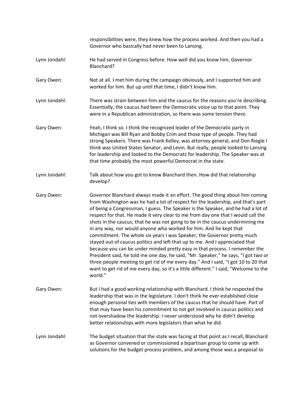responsibilities were, they knew how the process worked. And then you had a Governor who basically had never been to Lansing. Lynn Jondahl: He had served in Congress before. How well did you know him, Governor Blanchard? Gary Owen: Not at all. I met him during the campaign obviously, and I supported him and worked for him. But up until that time, I didn't know him. Lynn Jondahl: There was strain between him and the caucus for the reasons you're describing. Essentially, the caucus had been the Democratic voice up to that point. They were in a Republican administration, so there was some tension there. Gary Owen: Yeah, I think so. I think the recognized leader of the Democratic party in Michigan was Bill Ryan and Bobby Crim and those type of people. They had strong Speakers. There was Frank Kelley, was attorney general, and Don Riegle I think was United States Senator, and Levin. But really, people looked to Lansing for leadership and looked to the Democrats for leadership. The Speaker was at that time probably the most powerful Democrat in the state. Lynn Jondahl: Talk about how you got to know Blanchard then. How did that relationship develop? Gary Owen: Governor Blanchard always made it an effort. The good thing about him coming from Washington was he had a lot of respect for the leadership, and that's part of being a Congressman, I guess. The Speaker is the Speaker, and he had a lot of respect for that. He made it very clear to me from day one that I would call the shots in the caucus; that he was not going to be in the caucus undermining me in any way, nor would anyone who worked for him. And he kept that commitment. The whole six years I was Speaker, the Governor pretty much stayed out of caucus politics and left that up to me. And I appreciated that because you can be under minded pretty easy in that process. I remember the President said, he told me one day, he said, "Mr. Speaker," he says, "I got two or three people meeting to get rid of me every day." And I said, "I got 10 to 20 that want to get rid of me every day, so it's a little different." I said, "Welcome to the world." Gary Owen: But I had a good working relationship with Blanchard. I think he respected the leadership that was in the legislature. I don't think he ever established close enough personal ties with members of the caucus that he should have. Part of that may have been his commitment to not get involved in caucus politics and not overshadow the leadership. I never understood why he didn't develop better relationships with more legislators than what he did. Lynn Jondahl: The budget situation that the state was facing at that point as I recall, Blanchard as Governor convened or commissioned a bipartisan group to come up with solutions for the budget process problem, and among those was a proposal to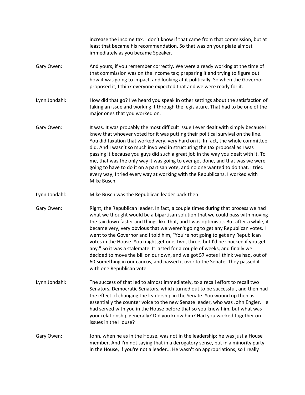increase the income tax. I don't know if that came from that commission, but at least that became his recommendation. So that was on your plate almost immediately as you became Speaker. Gary Owen: And yours, if you remember correctly. We were already working at the time of

that commission was on the income tax; preparing it and trying to figure out how it was going to impact, and looking at it politically. So when the Governor proposed it, I think everyone expected that and we were ready for it.

Lynn Jondahl: How did that go? I've heard you speak in other settings about the satisfaction of taking an issue and working it through the legislature. That had to be one of the major ones that you worked on.

- Gary Owen: It was. It was probably the most difficult issue I ever dealt with simply because I knew that whoever voted for it was putting their political survival on the line. You did taxation that worked very, very hard on it. In fact, the whole committee did. And I wasn't so much involved in structuring the tax proposal as I was passing it because you guys did such a great job in the way you dealt with it. To me, that was the only way it was going to ever get done, and that was we were going to have to do it on a partisan vote, and no one wanted to do that. I tried every way, I tried every way at working with the Republicans. I worked with Mike Busch.
- Lynn Jondahl: Mike Busch was the Republican leader back then.
- Gary Owen: Right, the Republican leader. In fact, a couple times during that process we had what we thought would be a bipartisan solution that we could pass with moving the tax down faster and things like that, and I was optimistic. But after a while, it became very, very obvious that we weren't going to get any Republican votes. I went to the Governor and I told him, "You're not going to get any Republican votes in the House. You might get one, two, three, but I'd be shocked if you get any." So it was a stalemate. It lasted for a couple of weeks, and finally we decided to move the bill on our own, and we got 57 votes I think we had, out of 60-something in our caucus, and passed it over to the Senate. They passed it with one Republican vote.
- Lynn Jondahl: The success of that led to almost immediately, to a recall effort to recall two Senators, Democratic Senators, which turned out to be successful, and then had the effect of changing the leadership in the Senate. You wound up then as essentially the counter voice to the new Senate leader, who was John Engler. He had served with you in the House before that so you knew him, but what was your relationship generally? Did you know him? Had you worked together on issues in the House?

Gary Owen: John, when he as in the House, was not in the leadership; he was just a House member. And I'm not saying that in a derogatory sense, but in a minority party in the House, if you're not a leader... He wasn't on appropriations, so I really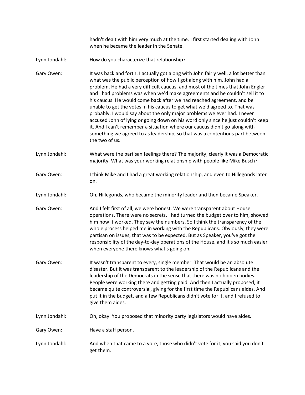hadn't dealt with him very much at the time. I first started dealing with John when he became the leader in the Senate.

Lynn Jondahl: How do you characterize that relationship?

Gary Owen: It was back and forth. I actually got along with John fairly well, a lot better than what was the public perception of how I got along with him. John had a problem. He had a very difficult caucus, and most of the times that John Engler and I had problems was when we'd make agreements and he couldn't sell it to his caucus. He would come back after we had reached agreement, and be unable to get the votes in his caucus to get what we'd agreed to. That was probably, I would say about the only major problems we ever had. I never accused John of lying or going down on his word only since he just couldn't keep it. And I can't remember a situation where our caucus didn't go along with something we agreed to as leadership, so that was a contentious part between the two of us.

Lynn Jondahl: What were the partisan feelings there? The majority, clearly it was a Democratic majority. What was your working relationship with people like Mike Busch?

Gary Owen: I think Mike and I had a great working relationship, and even to Hillegonds later on.

Lynn Jondahl: Oh, Hillegonds, who became the minority leader and then became Speaker.

Gary Owen: And I felt first of all, we were honest. We were transparent about House operations. There were no secrets. I had turned the budget over to him, showed him how it worked. They saw the numbers. So I think the transparency of the whole process helped me in working with the Republicans. Obviously, they were partisan on issues, that was to be expected. But as Speaker, you've got the responsibility of the day-to-day operations of the House, and it's so much easier when everyone there knows what's going on.

- Gary Owen: It wasn't transparent to every, single member. That would be an absolute disaster. But it was transparent to the leadership of the Republicans and the leadership of the Democrats in the sense that there was no hidden bodies. People were working there and getting paid. And then I actually proposed, it became quite controversial, giving for the first time the Republicans aides. And put it in the budget, and a few Republicans didn't vote for it, and I refused to give them aides.
- Lynn Jondahl: Oh, okay. You proposed that minority party legislators would have aides.
- Gary Owen: Have a staff person.
- Lynn Jondahl: And when that came to a vote, those who didn't vote for it, you said you don't get them.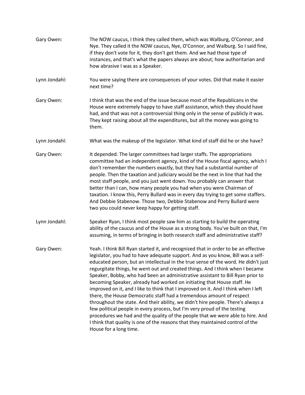Gary Owen: The NOW caucus, I think they called them, which was Walburg, O'Connor, and Nye. They called it the NOW caucus, Nye, O'Connor, and Walburg. So I said fine, if they don't vote for it, they don't get them. And we had those type of instances, and that's what the papers always are about; how authoritarian and how abrasive I was as a Speaker. Lynn Jondahl: You were saying there are consequences of your votes. Did that make it easier next time? Gary Owen: I think that was the end of the issue because most of the Republicans in the House were extremely happy to have staff assistance, which they should have had, and that was not a controversial thing only in the sense of publicly it was. They kept raising about all the expenditures, but all the money was going to them. Lynn Jondahl: What was the makeup of the legislator. What kind of staff did he or she have? Gary Owen: It depended. The larger committees had larger staffs. The appropriations committee had an independent agency, kind of the House fiscal agency, which I don't remember the numbers exactly, but they had a substantial number of people. Then the taxation and judiciary would be the next in line that had the most staff people, and you just went down. You probably can answer that better than I can, how many people you had when you were Chairman of taxation. I know this, Perry Bullard was in every day trying to get some staffers. And Debbie Stabenow. Those two, Debbie Stabenow and Perry Bullard were two you could never keep happy for getting staff. Lynn Jondahl: Speaker Ryan, I think most people saw him as starting to build the operating ability of the caucus and of the House as a strong body. You've built on that, I'm assuming, in terms of bringing in both research staff and administrative staff? Gary Owen: Yeah. I think Bill Ryan started it, and recognized that in order to be an effective legislator, you had to have adequate support. And as you know, Bill was a selfeducated person, but an intellectual in the true sense of the word. He didn't just regurgitate things, he went out and created things. And I think when I became Speaker, Bobby, who had been an administrative assistant to Bill Ryan prior to becoming Speaker, already had worked on initiating that House staff. He improved on it, and I like to think that I improved on it. And I think when I left there, the House Democratic staff had a tremendous amount of respect throughout the state. And their ability, we didn't hire people. There's always a few political people in every process, but I'm very proud of the testing procedures we had and the quality of the people that we were able to hire. And I think that quality is one of the reasons that they maintained control of the House for a long time.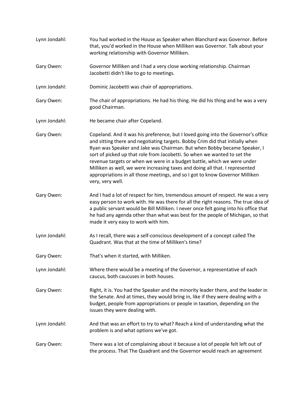Lynn Jondahl: You had worked in the House as Speaker when Blanchard was Governor. Before that, you'd worked in the House when Milliken was Governor. Talk about your working relationship with Governor Milliken. Gary Owen: Governor Milliken and I had a very close working relationship. Chairman Jacobetti didn't like to go to meetings. Lynn Jondahl: Dominic Jacobetti was chair of appropriations. Gary Owen: The chair of appropriations. He had his thing. He did his thing and he was a very good Chairman. Lynn Jondahl: He became chair after Copeland. Gary Owen: Copeland. And it was his preference, but I loved going into the Governor's office and sitting there and negotiating targets. Bobby Crim did that initially when Ryan was Speaker and Jake was Chairman. But when Bobby became Speaker, I sort of picked up that role from Jacobetti. So when we wanted to set the revenue targets or when we were in a budget battle, which we were under Milliken as well, we were increasing taxes and doing all that. I represented appropriations in all those meetings, and so I got to know Governor Milliken very, very well. Gary Owen: And I had a lot of respect for him, tremendous amount of respect. He was a very easy person to work with. He was there for all the right reasons. The true idea of a public servant would be Bill Milliken. I never once felt going into his office that he had any agenda other than what was best for the people of Michigan, so that made it very easy to work with him. Lynn Jondahl: As I recall, there was a self-conscious development of a concept called The Quadrant. Was that at the time of Milliken's time? Gary Owen: That's when it started, with Milliken. Lynn Jondahl: Where there would be a meeting of the Governor, a representative of each caucus, both caucuses in both houses. Gary Owen: Right, it is. You had the Speaker and the minority leader there, and the leader in the Senate. And at times, they would bring in, like if they were dealing with a budget, people from appropriations or people in taxation, depending on the issues they were dealing with. Lynn Jondahl: And that was an effort to try to what? Reach a kind of understanding what the problem is and what options we've got. Gary Owen: There was a lot of complaining about it because a lot of people felt left out of the process. That The Quadrant and the Governor would reach an agreement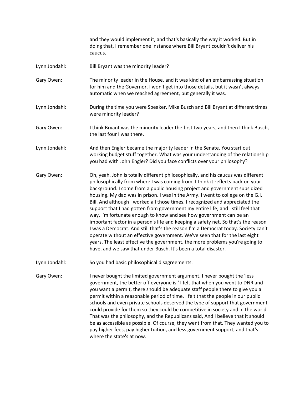and they would implement it, and that's basically the way it worked. But in doing that, I remember one instance where Bill Bryant couldn't deliver his caucus.

- Lynn Jondahl: Bill Bryant was the minority leader?
- Gary Owen: The minority leader in the House, and it was kind of an embarrassing situation for him and the Governor. I won't get into those details, but it wasn't always automatic when we reached agreement, but generally it was.
- Lynn Jondahl: During the time you were Speaker, Mike Busch and Bill Bryant at different times were minority leader?
- Gary Owen: I think Bryant was the minority leader the first two years, and then I think Busch, the last four I was there.
- Lynn Jondahl: And then Engler became the majority leader in the Senate. You start out working budget stuff together. What was your understanding of the relationship you had with John Engler? Did you face conflicts over your philosophy?
- Gary Owen: Oh, yeah. John is totally different philosophically, and his caucus was different philosophically from where I was coming from. I think it reflects back on your background. I come from a public housing project and government subsidized housing. My dad was in prison. I was in the Army. I went to college on the G.I. Bill. And although I worked all those times, I recognized and appreciated the support that I had gotten from government my entire life, and I still feel that way. I'm fortunate enough to know and see how government can be an important factor in a person's life and keeping a safety net. So that's the reason I was a Democrat. And still that's the reason I'm a Democrat today. Society can't operate without an effective government. We've seen that for the last eight years. The least effective the government, the more problems you're going to have, and we saw that under Busch. It's been a total disaster.
- Lynn Jondahl: So you had basic philosophical disagreements.

Gary Owen: I never bought the limited government argument. I never bought the 'less government, the better off everyone is.' I felt that when you went to DNR and you want a permit, there should be adequate staff people there to give you a permit within a reasonable period of time. I felt that the people in our public schools and even private schools deserved the type of support that government could provide for them so they could be competitive in society and in the world. That was the philosophy, and the Republicans said, And I believe that it should be as accessible as possible. Of course, they went from that. They wanted you to pay higher fees, pay higher tuition, and less government support, and that's where the state's at now.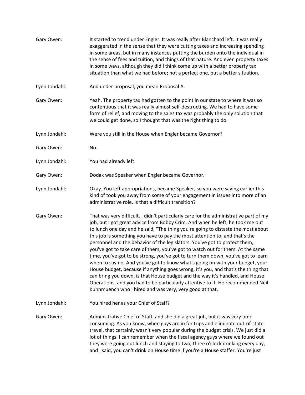| Gary Owen:    | It started to trend under Engler. It was really after Blanchard left. It was really<br>exaggerated in the sense that they were cutting taxes and increasing spending<br>in some areas, but in many instances putting the burden onto the individual in<br>the sense of fees and tuition, and things of that nature. And even property taxes<br>in some ways, although they did I think come up with a better property tax<br>situation than what we had before; not a perfect one, but a better situation.                                                                                                                                                                                                                                                                                                                                                                                                                                                                                        |
|---------------|---------------------------------------------------------------------------------------------------------------------------------------------------------------------------------------------------------------------------------------------------------------------------------------------------------------------------------------------------------------------------------------------------------------------------------------------------------------------------------------------------------------------------------------------------------------------------------------------------------------------------------------------------------------------------------------------------------------------------------------------------------------------------------------------------------------------------------------------------------------------------------------------------------------------------------------------------------------------------------------------------|
| Lynn Jondahl: | And under proposal, you mean Proposal A.                                                                                                                                                                                                                                                                                                                                                                                                                                                                                                                                                                                                                                                                                                                                                                                                                                                                                                                                                          |
| Gary Owen:    | Yeah. The property tax had gotten to the point in our state to where it was so<br>contentious that it was really almost self-destructing. We had to have some<br>form of relief, and moving to the sales tax was probably the only solution that<br>we could get done, so I thought that was the right thing to do.                                                                                                                                                                                                                                                                                                                                                                                                                                                                                                                                                                                                                                                                               |
| Lynn Jondahl: | Were you still in the House when Engler became Governor?                                                                                                                                                                                                                                                                                                                                                                                                                                                                                                                                                                                                                                                                                                                                                                                                                                                                                                                                          |
| Gary Owen:    | No.                                                                                                                                                                                                                                                                                                                                                                                                                                                                                                                                                                                                                                                                                                                                                                                                                                                                                                                                                                                               |
| Lynn Jondahl: | You had already left.                                                                                                                                                                                                                                                                                                                                                                                                                                                                                                                                                                                                                                                                                                                                                                                                                                                                                                                                                                             |
| Gary Owen:    | Dodak was Speaker when Engler became Governor.                                                                                                                                                                                                                                                                                                                                                                                                                                                                                                                                                                                                                                                                                                                                                                                                                                                                                                                                                    |
| Lynn Jondahl: | Okay. You left appropriations, became Speaker, so you were saying earlier this<br>kind of took you away from some of your engagement in issues into more of an<br>administrative role. Is that a difficult transition?                                                                                                                                                                                                                                                                                                                                                                                                                                                                                                                                                                                                                                                                                                                                                                            |
| Gary Owen:    | That was very difficult. I didn't particularly care for the administrative part of my<br>job, but I got great advice from Bobby Crim. And when he left, he took me out<br>to lunch one day and he said, "The thing you're going to distaste the most about<br>this job is something you have to pay the most attention to, and that's the<br>personnel and the behavior of the legislators. You've got to protect them,<br>you've got to take care of them, you've got to watch out for them. At the same<br>time, you've got to be strong, you've got to turn them down, you've got to learn<br>when to say no. And you've got to know what's going on with your budget, your<br>House budget, because if anything goes wrong, it's you, and that's the thing that<br>can bring you down, is that House budget and the way it's handled, and House<br>Operations, and you had to be particularly attentive to it. He recommended Neil<br>Kuhnmuench who I hired and was very, very good at that. |
| Lynn Jondahl: | You hired her as your Chief of Staff?                                                                                                                                                                                                                                                                                                                                                                                                                                                                                                                                                                                                                                                                                                                                                                                                                                                                                                                                                             |
| Gary Owen:    | Administrative Chief of Staff, and she did a great job, but it was very time<br>consuming. As you know, when guys are in for trips and eliminate out-of-state<br>travel, that certainly wasn't very popular during the budget crisis. We just did a<br>lot of things. I can remember when the fiscal agency guys where we found out<br>they were going out lunch and staying to two, three o'clock drinking every day,<br>and I said, you can't drink on House time if you're a House staffer. You're just                                                                                                                                                                                                                                                                                                                                                                                                                                                                                        |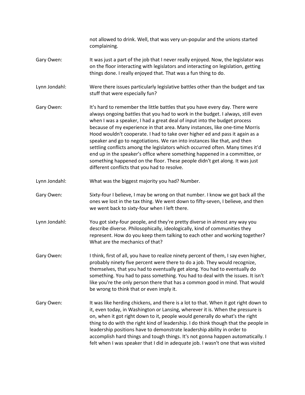not allowed to drink. Well, that was very un-popular and the unions started complaining. Gary Owen: It was just a part of the job that I never really enjoyed. Now, the legislator was on the floor interacting with legislators and interacting on legislation, getting things done. I really enjoyed that. That was a fun thing to do. Lynn Jondahl: Were there issues particularly legislative battles other than the budget and tax stuff that were especially fun? Gary Owen: It's hard to remember the little battles that you have every day. There were always ongoing battles that you had to work in the budget. I always, still even when I was a speaker, I had a great deal of input into the budget process because of my experience in that area. Many instances, like one-time Morris Hood wouldn't cooperate. I had to take over higher ed and pass it again as a speaker and go to negotiations. We ran into instances like that, and then settling conflicts among the legislators which occurred often. Many times it'd end up in the speaker's office where something happened in a committee, or something happened on the floor. These people didn't get along. It was just different conflicts that you had to resolve. Lynn Jondahl: What was the biggest majority you had? Number. Gary Owen: Sixty-four I believe, I may be wrong on that number. I know we got back all the ones we lost in the tax thing. We went down to fifty-seven, I believe, and then we went back to sixty-four when I left there. Lynn Jondahl: You got sixty-four people, and they're pretty diverse in almost any way you describe diverse. Philosophically, ideologically, kind of communities they represent. How do you keep them talking to each other and working together? What are the mechanics of that? Gary Owen: I think, first of all, you have to realize ninety percent of them, I say even higher, probably ninety five percent were there to do a job. They would recognize, themselves, that you had to eventually get along. You had to eventually do something. You had to pass something. You had to deal with the issues. It isn't like you're the only person there that has a common good in mind. That would be wrong to think that or even imply it. Gary Owen: It was like herding chickens, and there is a lot to that. When it got right down to it, even today, in Washington or Lansing, wherever it is. When the pressure is on, when it got right down to it, people would generally do what's the right thing to do with the right kind of leadership. I do think though that the people in leadership positions have to demonstrate leadership ability in order to accomplish hard things and tough things. It's not gonna happen automatically. I felt when I was speaker that I did in adequate job. I wasn't one that was visited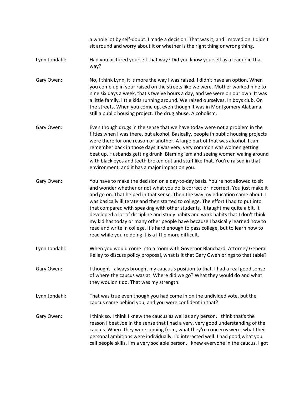a whole lot by self-doubt. I made a decision. That was it, and I moved on. I didn't sit around and worry about it or whether is the right thing or wrong thing.

- Lynn Jondahl: Had you pictured yourself that way? Did you know yourself as a leader in that way?
- Gary Owen: No, I think Lynn, it is more the way I was raised. I didn't have an option. When you come up in your raised on the streets like we were. Mother worked nine to nine six days a week, that's twelve hours a day, and we were on our own. It was a little family, little kids running around. We raised ourselves. In boys club. On the streets. When you come up, even though it was in Montgomery Alabama, still a public housing project. The drug abuse. Alcoholism.
- Gary Owen: Even though drugs in the sense that we have today were not a problem in the fifties when I was there, but alcohol. Basically, people in public housing projects were there for one reason or another. A large part of that was alcohol. I can remember back in those days it was very, very common was women getting beat up. Husbands getting drunk. Blaming 'em and seeing women waling around with black eyes and teeth broken out and stuff like that. You're raised in that environment, and it has a major impact on you.
- Gary Owen: You have to make the decision on a day-to-day basis. You're not allowed to sit and wonder whether or not what you do is correct or incorrect. You just make it and go on. That helped in that sense. Then the way my education came about. I was basically illiterate and then started to college. The effort I had to put into that compared with speaking with other students. It taught me quite a bit. It developed a lot of discipline and study habits and work habits that I don't think my kid has today or many other people have because I basically learned how to read and write in college. It's hard enough to pass college, but to learn how to read while you're doing it is a little more difficult.
- Lynn Jondahl: When you would come into a room with Governor Blanchard, Attorney General Kelley to discuss policy proposal, what is it that Gary Owen brings to that table?
- Gary Owen: I thought I always brought my caucus's position to that. I had a real good sense of where the caucus was at. Where did we go? What they would do and what they wouldn't do. That was my strength.
- Lynn Jondahl: That was true even though you had come in on the undivided vote, but the caucus came behind you, and you were confident in that?
- Gary Owen: I think so. I think I knew the caucus as well as any person. I think that's the reason I beat Joe in the sense that I had a very, very good understanding of the caucus. Where they were coming from, what they're concerns were, what their personal ambitions were individually. I'd interacted well. I had good,what you call people skills. I'm a very sociable person. I knew everyone in the caucus. I got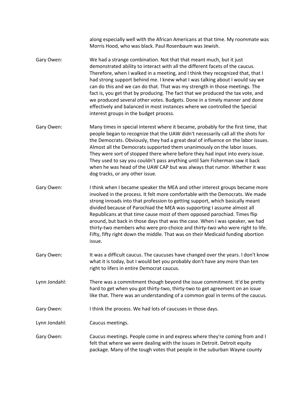along especially well with the African Americans at that time. My roommate was Morris Hood, who was black. Paul Rosenbaum was Jewish.

- Gary Owen: We had a strange combination. Not that that meant much, but it just demonstrated ability to interact with all the different facets of the caucus. Therefore, when I walked in a meeting, and I think they recognized that, that I had strong support behind me. I knew what I was talking about I would say we can do this and we can do that. That was my strength in those meetings. The fact is, you get that by producing. The fact that we produced the tax vote, and we produced several other votes. Budgets. Done in a timely manner and done effectively and balanced in most instances where we controlled the Special interest groups in the budget process.
- Gary Owen: Many times in special interest where it became, probably for the first time, that people began to recognize that the UAW didn't necessarily call all the shots for the Democrats. Obviously, they had a great deal of influence on the labor issues. Almost all the Democrats supported them unanimously on the labor issues. They were sort of stopped there where before they had input into every issue. They used to say you couldn't pass anything until Sam Fisherman saw it back when he was head of the UAW CAP but was always that rumor. Whether it was dog tracks, or any other issue.

Gary Owen: I think when I became speaker the MEA and other interest groups became more involved in the process. It felt more comfortable with the Democrats. We made strong inroads into that profession to getting support, which basically meant divided because of Parochiad the MEA was supporting I assume almost all Republicans at that time cause most of them opposed parochiad. Times flip around, but back in those days that was the case. When I was speaker, we had thirty-two members who were pro-choice and thirty-two who were right to life. Fifty, fifty right down the middle. That was on their Medicaid funding abortion issue.

- Gary Owen: It was a difficult caucus. The caucuses have changed over the years. I don't know what it is today, but I would bet you probably don't have any more than ten right to lifers in entire Democrat caucus.
- Lynn Jondahl: There was a commitment though beyond the issue commitment. It'd be pretty hard to get when you got thirty-two, thirty-two to get agreement on an issue like that. There was an understanding of a common goal in terms of the caucus.
- Gary Owen: I think the process. We had lots of caucuses in those days.
- Lynn Jondahl: Caucus meetings.

Gary Owen: Caucus meetings. People come in and express where they're coming from and I felt that where we were dealing with the issues in Detroit. Detroit equity package. Many of the tough votes that people in the suburban Wayne county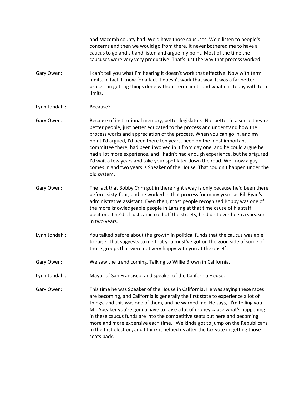and Macomb county had. We'd have those caucuses. We'd listen to people's concerns and then we would go from there. It never bothered me to have a caucus to go and sit and listen and argue my point. Most of the time the caucuses were very very productive. That's just the way that process worked. Gary Owen: I can't tell you what I'm hearing it doesn't work that effective. Now with term limits. In fact, I know for a fact it doesn't work that way. It was a far better process in getting things done without term limits and what it is today with term limits. Lynn Jondahl: Because? Gary Owen: Because of institutional memory, better legislators. Not better in a sense they're better people, just better educated to the process and understand how the process works and appreciation of the process. When you can go in, and my point I'd argued, I'd been there ten years, been on the most important committee there, had been involved in it from day one, and he could argue he had a lot more experience, and I hadn't had enough experience, but he's figured I'd wait a few years and take your spot later down the road. Well now a guy comes in and two years is Speaker of the House. That couldn't happen under the old system. Gary Owen: The fact that Bobby Crim got in there right away is only because he'd been there before, sixty-four, and he worked in that process for many years as Bill Ryan's administrative assistant. Even then, most people recognized Bobby was one of the more knowledgeable people in Lansing at that time cause of his staff position. If he'd of just came cold off the streets, he didn't ever been a speaker in two years. Lynn Jondahl: You talked before about the growth in political funds that the caucus was able to raise. That suggests to me that you must've got on the good side of some of those groups that were not very happy with you at the onset]. Gary Owen: We saw the trend coming. Talking to Willie Brown in California. Lynn Jondahl: Mayor of San Francisco. and speaker of the California House. Gary Owen: This time he was Speaker of the House in California. He was saying these races are becoming, and California is generally the first state to experience a lot of things, and this was one of them, and he warned me. He says, "I'm telling you Mr. Speaker you're gonna have to raise a lot of money cause what's happening in these caucus funds are into the competitive seats out here and becoming more and more expensive each time." We kinda got to jump on the Republicans in the first election, and I think it helped us after the tax vote in getting those seats back.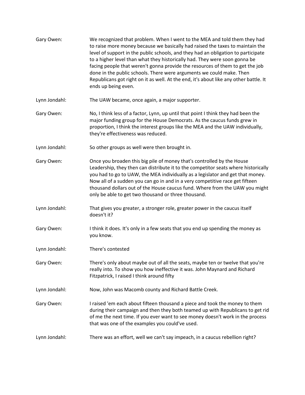| Gary Owen:    | We recognized that problem. When I went to the MEA and told them they had<br>to raise more money because we basically had raised the taxes to maintain the<br>level of support in the public schools, and they had an obligation to participate<br>to a higher level than what they historically had. They were soon gonna be<br>facing people that weren't gonna provide the resources of them to get the job<br>done in the public schools. There were arguments we could make. Then<br>Republicans got right on it as well. At the end, it's about like any other battle. It<br>ends up being even. |
|---------------|--------------------------------------------------------------------------------------------------------------------------------------------------------------------------------------------------------------------------------------------------------------------------------------------------------------------------------------------------------------------------------------------------------------------------------------------------------------------------------------------------------------------------------------------------------------------------------------------------------|
| Lynn Jondahl: | The UAW became, once again, a major supporter.                                                                                                                                                                                                                                                                                                                                                                                                                                                                                                                                                         |
| Gary Owen:    | No, I think less of a factor, Lynn, up until that point I think they had been the<br>major funding group for the House Democrats. As the caucus funds grew in<br>proportion, I think the interest groups like the MEA and the UAW individually,<br>they're effectiveness was reduced.                                                                                                                                                                                                                                                                                                                  |
| Lynn Jondahl: | So other groups as well were then brought in.                                                                                                                                                                                                                                                                                                                                                                                                                                                                                                                                                          |
| Gary Owen:    | Once you broaden this big pile of money that's controlled by the House<br>Leadership, they then can distribute it to the competitor seats where historically<br>you had to go to UAW, the MEA individually as a legislator and get that money.<br>Now all of a sudden you can go in and in a very competitive race get fifteen<br>thousand dollars out of the House caucus fund. Where from the UAW you might<br>only be able to get two thousand or three thousand.                                                                                                                                   |
| Lynn Jondahl: | That gives you greater, a stronger role, greater power in the caucus itself<br>doesn't it?                                                                                                                                                                                                                                                                                                                                                                                                                                                                                                             |
| Gary Owen:    | I think it does. It's only in a few seats that you end up spending the money as<br>you know.                                                                                                                                                                                                                                                                                                                                                                                                                                                                                                           |
| Lynn Jondahl: | There's contested                                                                                                                                                                                                                                                                                                                                                                                                                                                                                                                                                                                      |
| Gary Owen:    | There's only about maybe out of all the seats, maybe ten or twelve that you're<br>really into. To show you how ineffective it was. John Maynard and Richard<br>Fitzpatrick, I raised I think around fifty                                                                                                                                                                                                                                                                                                                                                                                              |
| Lynn Jondahl: | Now, John was Macomb county and Richard Battle Creek.                                                                                                                                                                                                                                                                                                                                                                                                                                                                                                                                                  |
| Gary Owen:    | I raised 'em each about fifteen thousand a piece and took the money to them<br>during their campaign and then they both teamed up with Republicans to get rid<br>of me the next time. If you ever want to see money doesn't work in the process<br>that was one of the examples you could've used.                                                                                                                                                                                                                                                                                                     |
| Lynn Jondahl: | There was an effort, well we can't say impeach, in a caucus rebellion right?                                                                                                                                                                                                                                                                                                                                                                                                                                                                                                                           |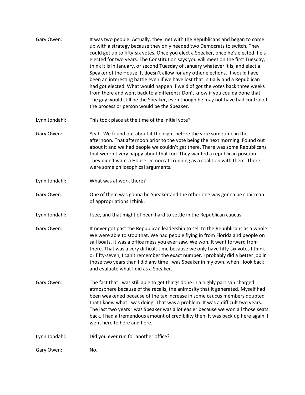- Gary Owen: It was two people. Actually, they met with the Republicans and began to come up with a strategy because they only needed two Democrats to switch. They could get up to fifty-six votes. Once you elect a Speaker, once he's elected, he's elected for two years. The Constitution says you will meet on the first Tuesday, I think it is in January, or second Tuesday of January whatever it is, and elect a Speaker of the House. It doesn't allow for any other elections. It would have been an interesting battle even if we have lost that initially and a Republican had got elected. What would happen if we'd of got the votes back three weeks from there and went back to a different? Don't know if you coulda done that. The guy would still be the Speaker, even though he may not have had control of the process or person would be the Speaker. Lynn Jondahl: This took place at the time of the initial vote? Gary Owen: Yeah. We found out about it the night before the vote sometime in the afternoon. That afternoon prior to the vote being the next morning. Found out about it and we had people we couldn't get there. There was some Republicans that weren't very happy about that too. They wanted a republican position. They didn't want a House Democrats running as a coalition with them. There were some philosophical arguments. Lynn Jondahl: What was at work there? Gary Owen: One of them was gonna be Speaker and the other one was gonna be chairman of appropriations I think. Lynn Jondahl: I see, and that might of been hard to settle in the Republican caucus. Gary Owen: It never got past the Republican leadership to sell to the Republicans as a whole. We were able to stop that. We had people flying in from Florida and people on sail boats. It was a office mess you ever saw. We won. It went forward from there. That was a very difficult time because we only have fifty-six votes I think or fifty-seven, I can't remember the exact number. I probably did a better job in those two years than I did any time I was Speaker in my own, when I look back and evaluate what I did as a Speaker. Gary Owen: The fact that I was still able to get things done in a highly partisan charged atmosphere because of the recalls, the animosity that it generated. Myself had been weakened because of the tax increase in some caucus members doubted that I knew what I was doing. That was a problem. It was a difficult two years.
	- The last two years I was Speaker was a lot easier because we won all those seats back. I had a tremendous amount of credibility then. It was back up here again. I went here to here and here.

Lynn Jondahl: Did you ever run for another office?

Gary Owen: No.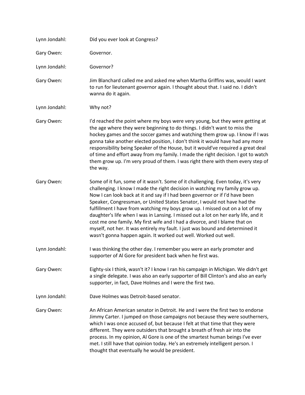| Lynn Jondahl: | Did you ever look at Congress?                                                                                                                                                                                                                                                                                                                                                                                                                                                                                                                                                                                                                                                                                                         |
|---------------|----------------------------------------------------------------------------------------------------------------------------------------------------------------------------------------------------------------------------------------------------------------------------------------------------------------------------------------------------------------------------------------------------------------------------------------------------------------------------------------------------------------------------------------------------------------------------------------------------------------------------------------------------------------------------------------------------------------------------------------|
| Gary Owen:    | Governor.                                                                                                                                                                                                                                                                                                                                                                                                                                                                                                                                                                                                                                                                                                                              |
| Lynn Jondahl: | Governor?                                                                                                                                                                                                                                                                                                                                                                                                                                                                                                                                                                                                                                                                                                                              |
| Gary Owen:    | Jim Blanchard called me and asked me when Martha Griffins was, would I want<br>to run for lieutenant governor again. I thought about that. I said no. I didn't<br>wanna do it again.                                                                                                                                                                                                                                                                                                                                                                                                                                                                                                                                                   |
| Lynn Jondahl: | Why not?                                                                                                                                                                                                                                                                                                                                                                                                                                                                                                                                                                                                                                                                                                                               |
| Gary Owen:    | I'd reached the point where my boys were very young, but they were getting at<br>the age where they were beginning to do things. I didn't want to miss the<br>hockey games and the soccer games and watching them grow up. I know if I was<br>gonna take another elected position, I don't think it would have had any more<br>responsibility being Speaker of the House, but it would've required a great deal<br>of time and effort away from my family. I made the right decision. I got to watch<br>them grow up. I'm very proud of them. I was right there with them every step of<br>the way.                                                                                                                                    |
| Gary Owen:    | Some of it fun, some of it wasn't. Some of it challenging. Even today, it's very<br>challenging. I know I made the right decision in watching my family grow up.<br>Now I can look back at it and say if I had been governor or if I'd have been<br>Speaker, Congressman, or United States Senator, I would not have had the<br>fulfillment I have from watching my boys grow up. I missed out on a lot of my<br>daughter's life when I was in Lansing. I missed out a lot on her early life, and it<br>cost me one family. My first wife and I had a divorce, and I blame that on<br>myself, not her. It was entirely my fault. I just was bound and determined it<br>wasn't gonna happen again. It worked out well. Worked out well. |
| Lynn Jondahl: | I was thinking the other day. I remember you were an early promoter and<br>supporter of Al Gore for president back when he first was.                                                                                                                                                                                                                                                                                                                                                                                                                                                                                                                                                                                                  |
| Gary Owen:    | Eighty-six I think, wasn't it? I know I ran his campaign in Michigan. We didn't get<br>a single delegate. I was also an early supporter of Bill Clinton's and also an early<br>supporter, in fact, Dave Holmes and I were the first two.                                                                                                                                                                                                                                                                                                                                                                                                                                                                                               |
| Lynn Jondahl: | Dave Holmes was Detroit-based senator.                                                                                                                                                                                                                                                                                                                                                                                                                                                                                                                                                                                                                                                                                                 |
| Gary Owen:    | An African American senator in Detroit. He and I were the first two to endorse<br>Jimmy Carter. I jumped on those campaigns not because they were southerners,<br>which I was once accused of, but because I felt at that time that they were<br>different. They were outsiders that brought a breath of fresh air into the<br>process. In my opinion, Al Gore is one of the smartest human beings I've ever<br>met. I still have that opinion today. He's an extremely intelligent person. I<br>thought that eventually he would be president.                                                                                                                                                                                        |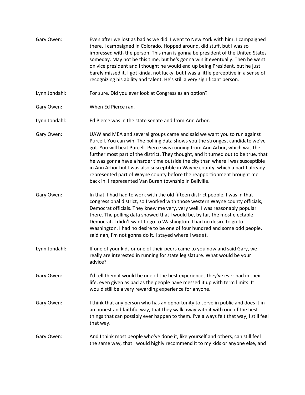| Gary Owen:    | Even after we lost as bad as we did. I went to New York with him. I campaigned<br>there. I campaigned in Colorado. Hopped around, did stuff, but I was so<br>impressed with the person. This man is gonna be president of the United States<br>someday. May not be this time, but he's gonna win it eventually. Then he went<br>on vice president and I thought he would end up being President, but he just<br>barely missed it. I got kinda, not lucky, but I was a little perceptive in a sense of<br>recognizing his ability and talent. He's still a very significant person.                                                        |
|---------------|-------------------------------------------------------------------------------------------------------------------------------------------------------------------------------------------------------------------------------------------------------------------------------------------------------------------------------------------------------------------------------------------------------------------------------------------------------------------------------------------------------------------------------------------------------------------------------------------------------------------------------------------|
| Lynn Jondahl: | For sure. Did you ever look at Congress as an option?                                                                                                                                                                                                                                                                                                                                                                                                                                                                                                                                                                                     |
| Gary Owen:    | When Ed Pierce ran.                                                                                                                                                                                                                                                                                                                                                                                                                                                                                                                                                                                                                       |
| Lynn Jondahl: | Ed Pierce was in the state senate and from Ann Arbor.                                                                                                                                                                                                                                                                                                                                                                                                                                                                                                                                                                                     |
| Gary Owen:    | UAW and MEA and several groups came and said we want you to run against<br>Purcell. You can win. The polling data shows you the strongest candidate we've<br>got. You will beat Purcell. Pierce was running from Ann Arbor, which was the<br>further most part of the district. They thought, and it turned out to be true, that<br>he was gonna have a harder time outside the city than where I was susceptible<br>in Ann Arbor but I was also susceptible in Wayne county, which a part I already<br>represented part of Wayne county before the reapportionment brought me<br>back in. I represented Van Buren township in Bellville. |
| Gary Owen:    | In that, I had had to work with the old fifteen district people. I was in that<br>congressional district, so I worked with those western Wayne county officials,<br>Democrat officials. They knew me very, very well. I was reasonably popular<br>there. The polling data showed that I would be, by far, the most electable<br>Democrat. I didn't want to go to Washington. I had no desire to go to<br>Washington. I had no desire to be one of four hundred and some odd people. I<br>said nah, I'm not gonna do it. I stayed where I was at.                                                                                          |
| Lynn Jondahl: | If one of your kids or one of their peers came to you now and said Gary, we<br>really are interested in running for state legislature. What would be your<br>advice?                                                                                                                                                                                                                                                                                                                                                                                                                                                                      |
| Gary Owen:    | I'd tell them it would be one of the best experiences they've ever had in their<br>life, even given as bad as the people have messed it up with term limits. It<br>would still be a very rewarding experience for anyone.                                                                                                                                                                                                                                                                                                                                                                                                                 |
| Gary Owen:    | I think that any person who has an opportunity to serve in public and does it in<br>an honest and faithful way, that they walk away with it with one of the best<br>things that can possibly ever happen to them. I've always felt that way, I still feel<br>that way.                                                                                                                                                                                                                                                                                                                                                                    |
| Gary Owen:    | And I think most people who've done it, like yourself and others, can still feel<br>the same way, that I would highly recommend it to my kids or anyone else, and                                                                                                                                                                                                                                                                                                                                                                                                                                                                         |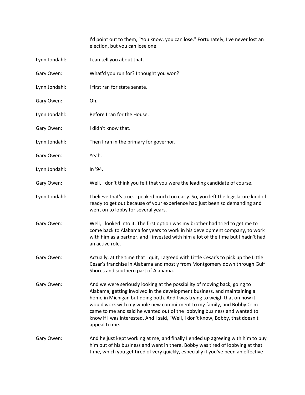I'd point out to them, "You know, you can lose." Fortunately, I've never lost an election, but you can lose one.

| Lynn Jondahl: | I can tell you about that.                                                                                                                                                                                                                                                                                                                                                                                                                                                                 |
|---------------|--------------------------------------------------------------------------------------------------------------------------------------------------------------------------------------------------------------------------------------------------------------------------------------------------------------------------------------------------------------------------------------------------------------------------------------------------------------------------------------------|
| Gary Owen:    | What'd you run for? I thought you won?                                                                                                                                                                                                                                                                                                                                                                                                                                                     |
| Lynn Jondahl: | I first ran for state senate.                                                                                                                                                                                                                                                                                                                                                                                                                                                              |
| Gary Owen:    | Oh.                                                                                                                                                                                                                                                                                                                                                                                                                                                                                        |
| Lynn Jondahl: | Before I ran for the House.                                                                                                                                                                                                                                                                                                                                                                                                                                                                |
| Gary Owen:    | I didn't know that.                                                                                                                                                                                                                                                                                                                                                                                                                                                                        |
| Lynn Jondahl: | Then I ran in the primary for governor.                                                                                                                                                                                                                                                                                                                                                                                                                                                    |
| Gary Owen:    | Yeah.                                                                                                                                                                                                                                                                                                                                                                                                                                                                                      |
| Lynn Jondahl: | In '94.                                                                                                                                                                                                                                                                                                                                                                                                                                                                                    |
| Gary Owen:    | Well, I don't think you felt that you were the leading candidate of course.                                                                                                                                                                                                                                                                                                                                                                                                                |
| Lynn Jondahl: | I believe that's true. I peaked much too early. So, you left the legislature kind of<br>ready to get out because of your experience had just been so demanding and<br>went on to lobby for several years.                                                                                                                                                                                                                                                                                  |
| Gary Owen:    | Well, I looked into it. The first option was my brother had tried to get me to<br>come back to Alabama for years to work in his development company, to work<br>with him as a partner, and I invested with him a lot of the time but I hadn't had<br>an active role.                                                                                                                                                                                                                       |
| Gary Owen:    | Actually, at the time that I quit, I agreed with Little Cesar's to pick up the Little<br>Cesar's franchise in Alabama and mostly from Montgomery down through Gulf<br>Shores and southern part of Alabama.                                                                                                                                                                                                                                                                                 |
| Gary Owen:    | And we were seriously looking at the possibility of moving back, going to<br>Alabama, getting involved in the development business, and maintaining a<br>home in Michigan but doing both. And I was trying to weigh that on how it<br>would work with my whole new commitment to my family, and Bobby Crim<br>came to me and said he wanted out of the lobbying business and wanted to<br>know if I was interested. And I said, "Well, I don't know, Bobby, that doesn't<br>appeal to me." |
| Gary Owen:    | And he just kept working at me, and finally I ended up agreeing with him to buy<br>him out of his business and went in there. Bobby was tired of lobbying at that<br>time, which you get tired of very quickly, especially if you've been an effective                                                                                                                                                                                                                                     |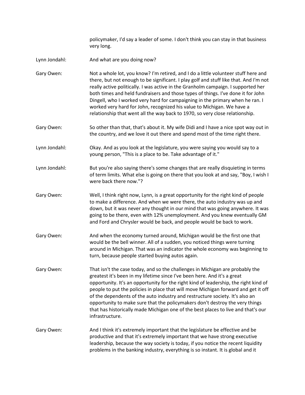policymaker, I'd say a leader of some. I don't think you can stay in that business very long.

- Lynn Jondahl: And what are you doing now?
- Gary Owen: Not a whole lot, you know? I'm retired, and I do a little volunteer stuff here and there, but not enough to be significant. I play golf and stuff like that. And I'm not really active politically. I was active in the Granholm campaign. I supported her both times and held fundraisers and those types of things. I've done it for John Dingell, who I worked very hard for campaigning in the primary when he ran. I worked very hard for John, recognized his value to Michigan. We have a relationship that went all the way back to 1970, so very close relationship.
- Gary Owen: So other than that, that's about it. My wife Didi and I have a nice spot way out in the country, and we love it out there and spend most of the time right there.
- Lynn Jondahl: Okay. And as you look at the legislature, you were saying you would say to a young person, "This is a place to be. Take advantage of it."
- Lynn Jondahl: But you're also saying there's some changes that are really disquieting in terms of term limits. What else is going on there that you look at and say, "Boy, I wish I were back there now."?
- Gary Owen: Well, I think right now, Lynn, is a great opportunity for the right kind of people to make a difference. And when we were there, the auto industry was up and down, but it was never any thought in our mind that was going anywhere. It was going to be there, even with 12% unemployment. And you knew eventually GM and Ford and Chrysler would be back, and people would be back to work.
- Gary Owen: And when the economy turned around, Michigan would be the first one that would be the bell winner. All of a sudden, you noticed things were turning around in Michigan. That was an indicator the whole economy was beginning to turn, because people started buying autos again.
- Gary Owen: That isn't the case today, and so the challenges in Michigan are probably the greatest it's been in my lifetime since I've been here. And it's a great opportunity. It's an opportunity for the right kind of leadership, the right kind of people to put the policies in place that will move Michigan forward and get it off of the dependents of the auto industry and restructure society. It's also an opportunity to make sure that the policymakers don't destroy the very things that has historically made Michigan one of the best places to live and that's our infrastructure.
- Gary Owen: And I think it's extremely important that the legislature be effective and be productive and that it's extremely important that we have strong executive leadership, because the way society is today, if you notice the recent liquidity problems in the banking industry, everything is so instant. It is global and it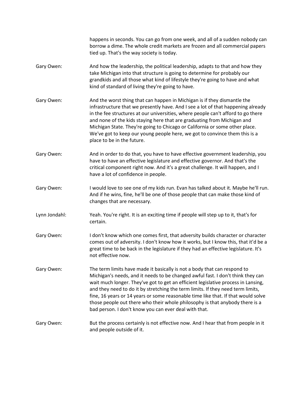|               | happens in seconds. You can go from one week, and all of a sudden nobody can<br>borrow a dime. The whole credit markets are frozen and all commercial papers<br>tied up. That's the way society is today.                                                                                                                                                                                                                                                                                                                                                         |
|---------------|-------------------------------------------------------------------------------------------------------------------------------------------------------------------------------------------------------------------------------------------------------------------------------------------------------------------------------------------------------------------------------------------------------------------------------------------------------------------------------------------------------------------------------------------------------------------|
| Gary Owen:    | And how the leadership, the political leadership, adapts to that and how they<br>take Michigan into that structure is going to determine for probably our<br>grandkids and all those what kind of lifestyle they're going to have and what<br>kind of standard of living they're going to have.                                                                                                                                                                                                                                                                   |
| Gary Owen:    | And the worst thing that can happen in Michigan is if they dismantle the<br>infrastructure that we presently have. And I see a lot of that happening already<br>in the fee structures at our universities, where people can't afford to go there<br>and none of the kids staying here that are graduating from Michigan and<br>Michigan State. They're going to Chicago or California or some other place.<br>We've got to keep our young people here, we got to convince them this is a<br>place to be in the future.                                            |
| Gary Owen:    | And in order to do that, you have to have effective government leadership, you<br>have to have an effective legislature and effective governor. And that's the<br>critical component right now. And it's a great challenge. It will happen, and I<br>have a lot of confidence in people.                                                                                                                                                                                                                                                                          |
| Gary Owen:    | I would love to see one of my kids run. Evan has talked about it. Maybe he'll run.<br>And if he wins, fine, he'll be one of those people that can make those kind of<br>changes that are necessary.                                                                                                                                                                                                                                                                                                                                                               |
| Lynn Jondahl: | Yeah. You're right. It is an exciting time if people will step up to it, that's for<br>certain.                                                                                                                                                                                                                                                                                                                                                                                                                                                                   |
| Gary Owen:    | I don't know which one comes first, that adversity builds character or character<br>comes out of adversity. I don't know how it works, but I know this, that it'd be a<br>great time to be back in the legislature if they had an effective legislature. It's<br>not effective now.                                                                                                                                                                                                                                                                               |
| Gary Owen:    | The term limits have made it basically is not a body that can respond to<br>Michigan's needs, and it needs to be changed awful fast. I don't think they can<br>wait much longer. They've got to get an efficient legislative process in Lansing,<br>and they need to do it by stretching the term limits. If they need term limits,<br>fine, 16 years or 14 years or some reasonable time like that. If that would solve<br>those people out there who their whole philosophy is that anybody there is a<br>bad person. I don't know you can ever deal with that. |
| Gary Owen:    | But the process certainly is not effective now. And I hear that from people in it<br>and people outside of it.                                                                                                                                                                                                                                                                                                                                                                                                                                                    |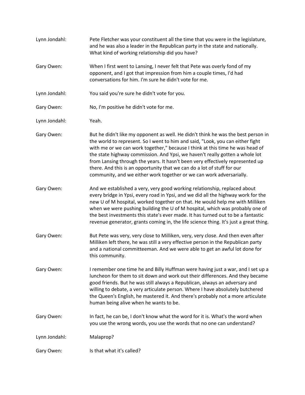| Lynn Jondahl: | Pete Fletcher was your constituent all the time that you were in the legislature,<br>and he was also a leader in the Republican party in the state and nationally.<br>What kind of working relationship did you have?                                                                                                                                                                                                                                                                                                                                                     |
|---------------|---------------------------------------------------------------------------------------------------------------------------------------------------------------------------------------------------------------------------------------------------------------------------------------------------------------------------------------------------------------------------------------------------------------------------------------------------------------------------------------------------------------------------------------------------------------------------|
| Gary Owen:    | When I first went to Lansing, I never felt that Pete was overly fond of my<br>opponent, and I got that impression from him a couple times, I'd had<br>conversations for him. I'm sure he didn't vote for me.                                                                                                                                                                                                                                                                                                                                                              |
| Lynn Jondahl: | You said you're sure he didn't vote for you.                                                                                                                                                                                                                                                                                                                                                                                                                                                                                                                              |
| Gary Owen:    | No, I'm positive he didn't vote for me.                                                                                                                                                                                                                                                                                                                                                                                                                                                                                                                                   |
| Lynn Jondahl: | Yeah.                                                                                                                                                                                                                                                                                                                                                                                                                                                                                                                                                                     |
| Gary Owen:    | But he didn't like my opponent as well. He didn't think he was the best person in<br>the world to represent. So I went to him and said, "Look, you can either fight<br>with me or we can work together," because I think at this time he was head of<br>the state highway commission. And Ypsi, we haven't really gotten a whole lot<br>from Lansing through the years. It hasn't been very effectively represented up<br>there. And this is an opportunity that we can do a lot of stuff for our<br>community, and we either work together or we can work adversarially. |
| Gary Owen:    | And we established a very, very good working relationship, replaced about<br>every bridge in Ypsi, every road in Ypsi, and we did all the highway work for the<br>new U of M hospital, worked together on that. He would help me with Milliken<br>when we were pushing building the U of M hospital, which was probably one of<br>the best investments this state's ever made. It has turned out to be a fantastic<br>revenue generator, grants coming in, the life science thing. It's just a great thing.                                                               |
| Gary Owen:    | But Pete was very, very close to Milliken, very, very close. And then even after<br>Milliken left there, he was still a very effective person in the Republican party<br>and a national committeeman. And we were able to get an awful lot done for<br>this community.                                                                                                                                                                                                                                                                                                    |
| Gary Owen:    | I remember one time he and Billy Huffman were having just a war, and I set up a<br>luncheon for them to sit down and work out their differences. And they became<br>good friends. But he was still always a Republican, always an adversary and<br>willing to debate, a very articulate person. Where I have absolutely butchered<br>the Queen's English, he mastered it. And there's probably not a more articulate<br>human being alive when he wants to be.                                                                                                            |
| Gary Owen:    | In fact, he can be, I don't know what the word for it is. What's the word when<br>you use the wrong words, you use the words that no one can understand?                                                                                                                                                                                                                                                                                                                                                                                                                  |
| Lynn Jondahl: | Malaprop?                                                                                                                                                                                                                                                                                                                                                                                                                                                                                                                                                                 |
| Gary Owen:    | Is that what it's called?                                                                                                                                                                                                                                                                                                                                                                                                                                                                                                                                                 |